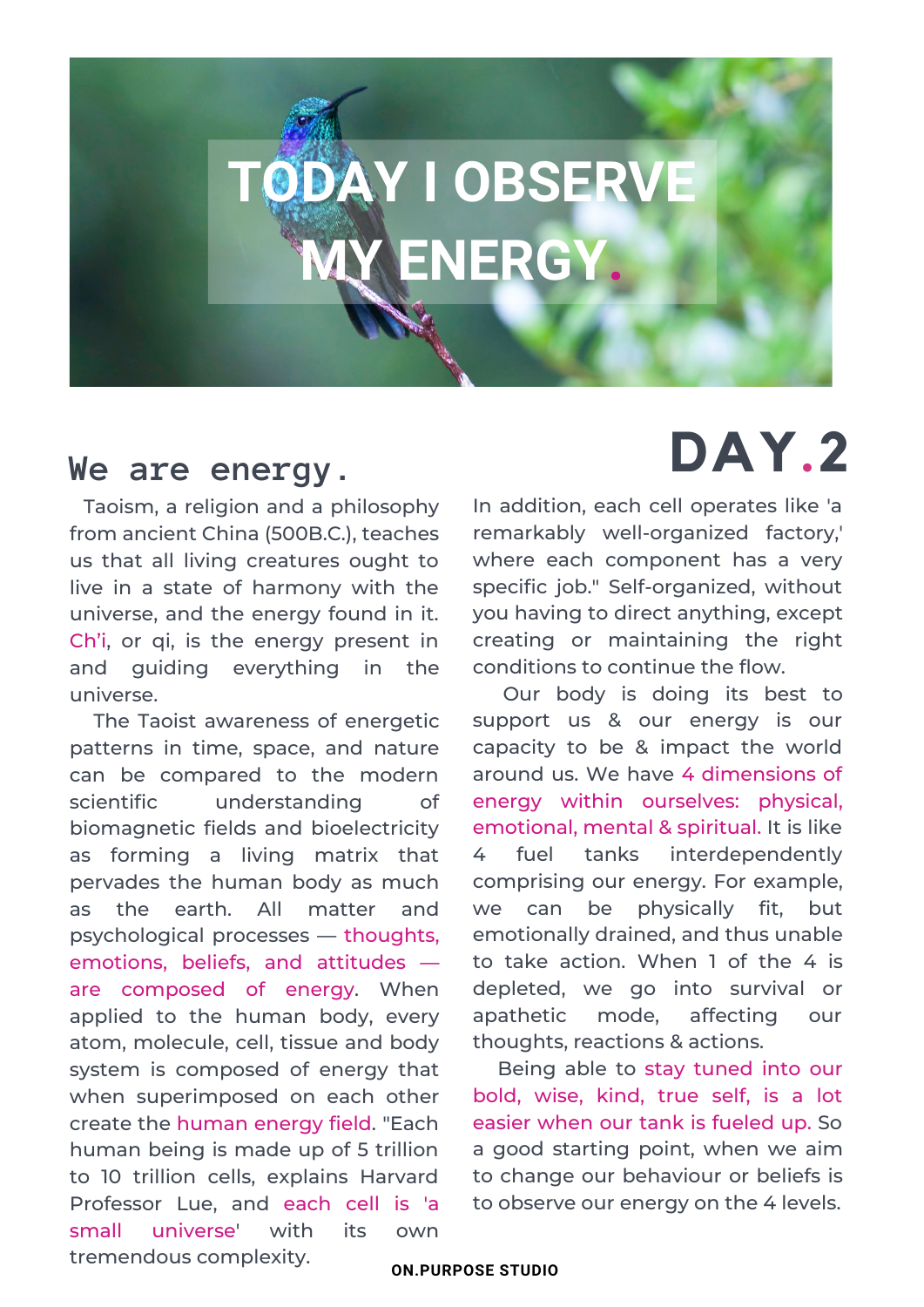## **TODAY I OBSERVE** ENERGY

Taoism, a religion and a philosophy from ancient China (500B.C.), teaches us that all living creatures ought to live in a state of harmony with the universe, and the energy found in it. Ch'i, or qi, is the energy present in and guiding everything in the universe.

patterns in time, space, and nature The Taoist awareness of energetic can be compared to the modern scientific understanding of biomagnetic fields and bioelectricity as forming a living matrix that pervades the human body as much as the earth. All matter and psychological processes — thoughts, emotions, beliefs, and attitudes are composed of energy. When applied to the human body, every atom, molecule, cell, tissue and body system is composed of energy that when superimposed on each other create the human energy field. "Each human being is made up of 5 trillion to 10 trillion cells, explains Harvard Professor Lue, and each cell is 'a small universe' with its own tremendous complexity.

## **We are energy. DAY.2**

In addition, each cell operates like 'a remarkably well-organized factory,' where each component has a very specific job." Self-organized, without you having to direct anything, except creating or maintaining the right conditions to continue the flow.

Our body is doing its best to support us & our energy is our capacity to be & impact the world around us. We have 4 dimensions of energy within ourselves: physical, emotional, mental & spiritual. It is like 4 fuel tanks interdependently comprising our energy. For example, we can be physically fit, but emotionally drained, and thus unable to take action. When 1 of the 4 is depleted, we go into survival or apathetic mode, affecting our thoughts, reactions & actions.

Being able to stay tuned into our bold, wise, kind, true self, is a lot easier when our tank is fueled up. So a good starting point, when we aim to change our behaviour or beliefs is to observe our energy on the 4 levels.

**ON.PURPOSE STUDIO**